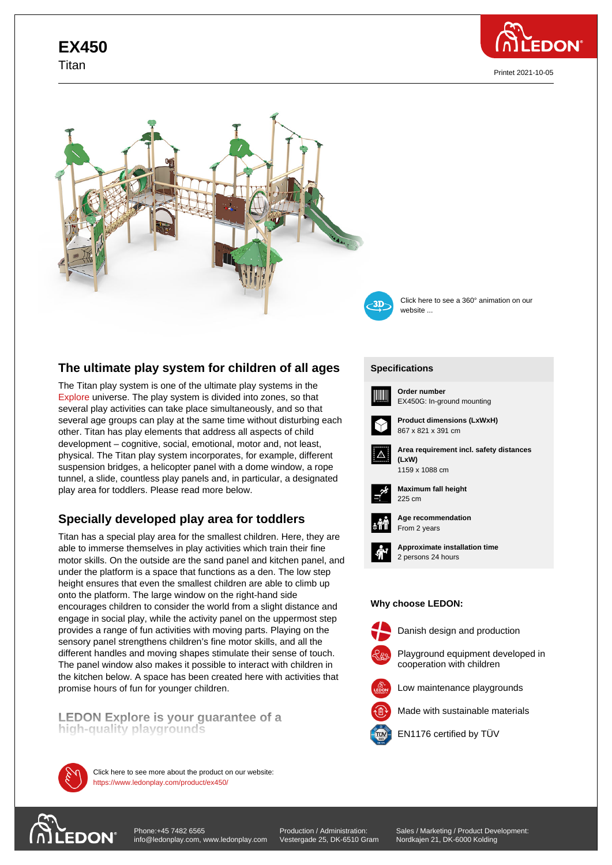# **EX450** Titan









Click here to see a 360° animation on our website ...

# **The ultimate play system for children of all ages**

The Titan play system is one of the ultimate play systems in the Explore universe. The play system is divided into zones, so that several play activities can take place simultaneously, and so that several age groups can play at the same time without disturbing each other. Titan has play elements that address all aspects of child [develop](https://www.ledonplay.com/explore/)ment – cognitive, social, emotional, motor and, not least, physical. The Titan play system incorporates, for example, different suspension bridges, a helicopter panel with a dome window, a rope tunnel, a slide, countless play panels and, in particular, a designated play area for toddlers. Please read more below.

# **Specially developed play area for toddlers**

Titan has a special play area for the smallest children. Here, they are able to immerse themselves in play activities which train their fine motor skills. On the outside are the sand panel and kitchen panel, and under the platform is a space that functions as a den. The low step height ensures that even the smallest children are able to climb up onto the platform. The large window on the right-hand side encourages children to consider the world from a slight distance and engage in social play, while the activity panel on the uppermost step provides a range of fun activities with moving parts. Playing on the sensory panel strengthens children's fine motor skills, and all the different handles and moving shapes stimulate their sense of touch. The panel window also makes it possible to interact with children in the kitchen below. A space has been created here with activities that promise hours of fun for younger children.

**LEDON Explore is your guarantee of a high-quality playgrounds**



https://www.ledonplay.com/product/ex450/ Click here to see more about the product on our website:

#### **[Specific](https://www.ledonplay.com/product/ex450/)ations [Speci](https://www.ledonplay.com/product/ex450/)fications**



**Order number** EX450G: In-ground mounting



**Product dimensions (LxWxH)** 867 x 821 x 391 cm



**Area requirement incl. safety distances (LxW) (LxW)**





**Maximum fall height** 225 cm 225 cm



**Age recommendation** From 2 years



**Approximate installation time** 2 persons 24 hours

#### **Why choose LEDON: Why choose LEDON:**



Danish design and production



Low maintenance playgrounds

Made with sustainable materials



EN1176 certified by TÜV



Production / Administration: Vestergade 25, DK-6510 Gram Sales / Marketing / Product Development: Nordkajen 21, DK-6000 Kolding